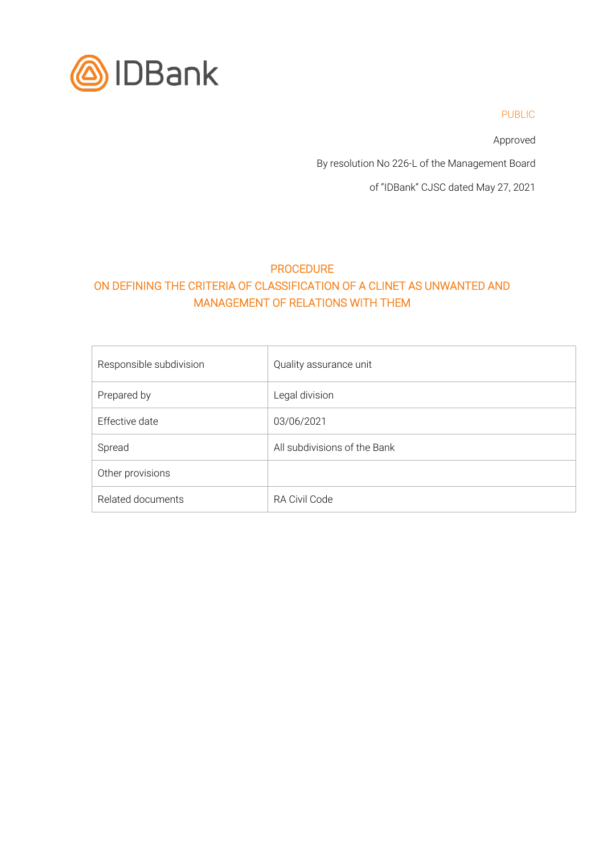

PUBLIC

Approved

By resolution No 226-L of the Management Board

of "IDBank" CJSC dated May 27, 2021

# PROCEDURE ON DEFINING THE CRITERIA OF CLASSIFICATION OF A CLINET AS UNWANTED AND MANAGEMENT OF RELATIONS WITH THEM

| Responsible subdivision | Quality assurance unit       |
|-------------------------|------------------------------|
| Prepared by             | Legal division               |
| Effective date          | 03/06/2021                   |
| Spread                  | All subdivisions of the Bank |
| Other provisions        |                              |
| Related documents       | RA Civil Code                |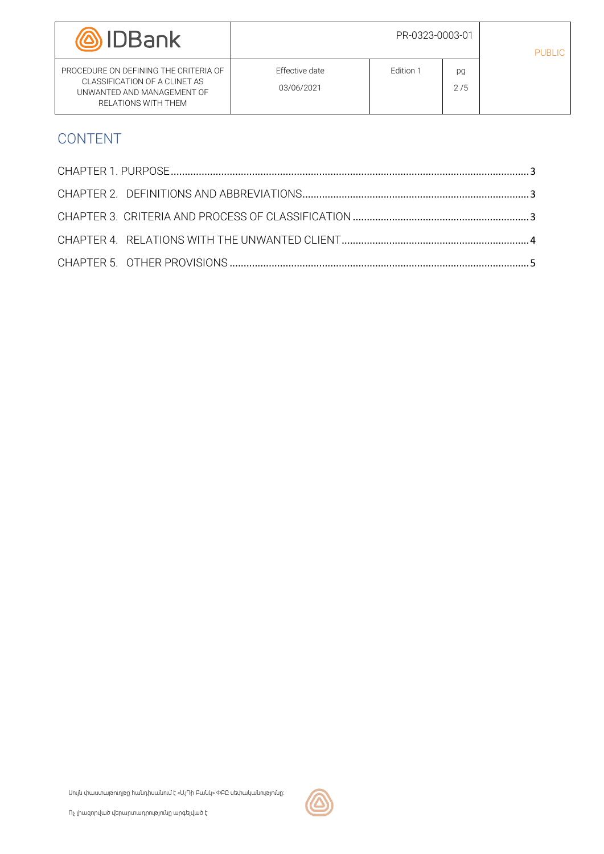| <b>IDBank</b>                                                                                                               | PR-0323-0003-01                     |           |           | <b>PUBLIC</b> |
|-----------------------------------------------------------------------------------------------------------------------------|-------------------------------------|-----------|-----------|---------------|
| PROCEDURE ON DEFINING THE CRITERIA OF<br>CLASSIFICATION OF A CLINET AS<br>UNWANTED AND MANAGEMENT OF<br>RELATIONS WITH THEM | <b>Effective date</b><br>03/06/2021 | Edition 1 | pg<br>2/5 |               |

# CONTENT

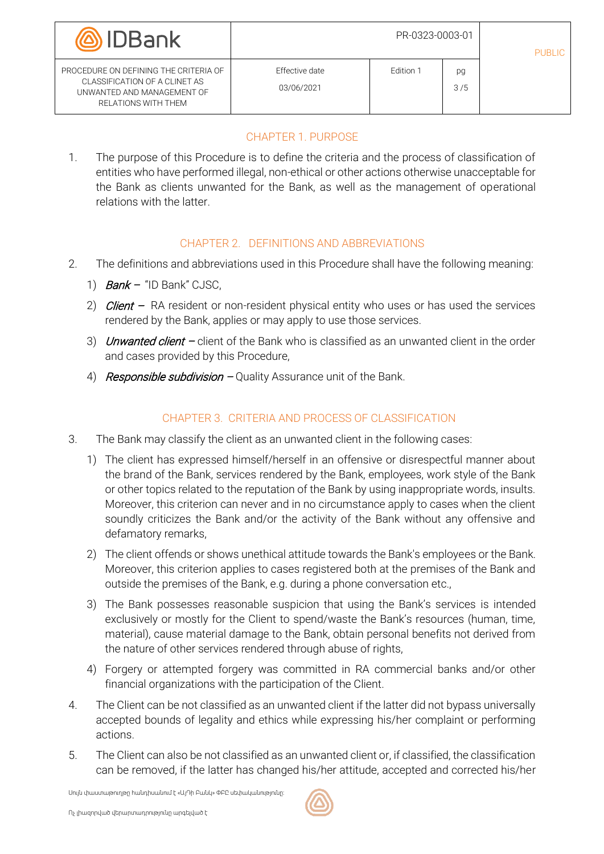| <b>(@)</b> IDBank                                                                                                           | PR-0323-0003-01                     |           |           | PUBLIC. |
|-----------------------------------------------------------------------------------------------------------------------------|-------------------------------------|-----------|-----------|---------|
| PROCEDURE ON DEFINING THE CRITERIA OF<br>CLASSIFICATION OF A CLINET AS<br>UNWANTED AND MANAGEMENT OF<br>RELATIONS WITH THEM | <b>Effective date</b><br>03/06/2021 | Edition 1 | pg<br>3/5 |         |

# CHAPTER 1. PURPOSE

<span id="page-2-0"></span>1. The purpose of this Procedure is to define the criteria and the process of classification of entities who have performed illegal, non-ethical or other actions otherwise unacceptable for the Bank as clients unwanted for the Bank, as well as the management of operational relations with the latter.

#### CHAPTER 2. DEFINITIONS AND ABBREVIATIONS

- <span id="page-2-1"></span>2. The definitions and abbreviations used in this Procedure shall have the following meaning:
	- 1)  $Bank "ID Bank" CJSC$ .
	- 2) *Client* RA resident or non-resident physical entity who uses or has used the services rendered by the Bank, applies or may apply to use those services.
	- 3) *Unwanted client –* client of the Bank who is classified as an unwanted client in the order and cases provided by this Procedure,
	- 4) Responsible subdivision  $-Q$ uality Assurance unit of the Bank.

## CHAPTER 3. CRITERIA AND PROCESS OF CLASSIFICATION

- <span id="page-2-2"></span>3. The Bank may classify the client as an unwanted client in the following cases:
	- 1) The client has expressed himself/herself in an offensive or disrespectful manner about the brand of the Bank, services rendered by the Bank, employees, work style of the Bank or other topics related to the reputation of the Bank by using inappropriate words, insults. Moreover, this criterion can never and in no circumstance apply to cases when the client soundly criticizes the Bank and/or the activity of the Bank without any offensive and defamatory remarks,
	- 2) The client offends or shows unethical attitude towards the Bank's employees or the Bank. Moreover, this criterion applies to cases registered both at the premises of the Bank and outside the premises of the Bank, e.g. during a phone conversation etc.,
	- 3) The Bank possesses reasonable suspicion that using the Bank's services is intended exclusively or mostly for the Client to spend/waste the Bank's resources (human, time, material), cause material damage to the Bank, obtain personal benefits not derived from the nature of other services rendered through abuse of rights,
	- 4) Forgery or attempted forgery was committed in RA commercial banks and/or other financial organizations with the participation of the Client.
- 4. The Client can be not classified as an unwanted client if the latter did not bypass universally accepted bounds of legality and ethics while expressing his/her complaint or performing actions.
- 5. The Client can also be not classified as an unwanted client or, if classified, the classification can be removed, if the latter has changed his/her attitude, accepted and corrected his/her

Սույն փաստաթուղթը հանդիսանում է «ԱյԴի Բանկ» ՓԲԸ սեփականությունը: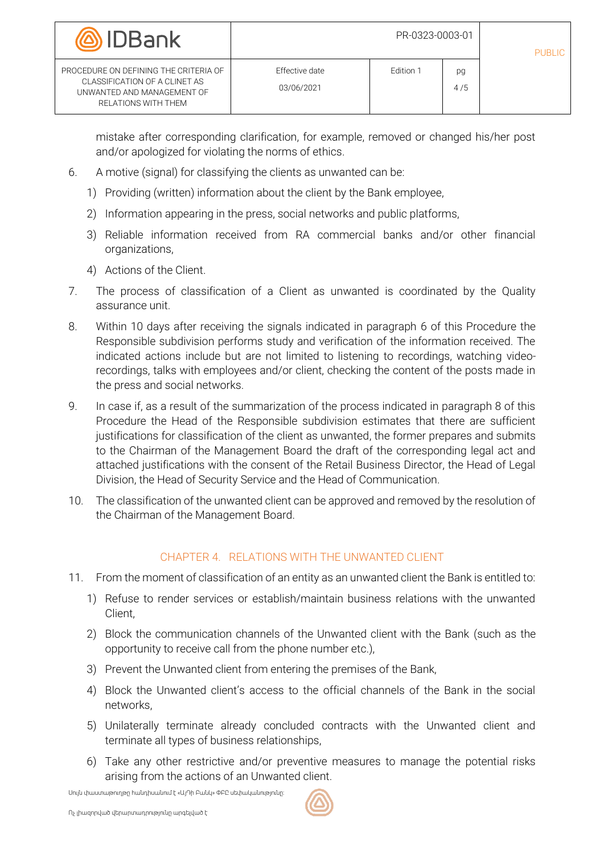| <b>(@)</b> IDBank                                                                                                           | PR-0323-0003-01                     |           |           | PUBLIC |
|-----------------------------------------------------------------------------------------------------------------------------|-------------------------------------|-----------|-----------|--------|
| PROCEDURE ON DEFINING THE CRITERIA OF<br>CLASSIFICATION OF A CLINET AS<br>UNWANTED AND MANAGEMENT OF<br>RELATIONS WITH THEM | <b>Effective date</b><br>03/06/2021 | Edition 1 | pg<br>4/5 |        |

mistake after corresponding clarification, for example, removed or changed his/her post and/or apologized for violating the norms of ethics.

- <span id="page-3-1"></span>6. A motive (signal) for classifying the clients as unwanted can be:
	- 1) Providing (written) information about the client by the Bank employee,
	- 2) Information appearing in the press, social networks and public platforms,
	- 3) Reliable information received from RA commercial banks and/or other financial organizations,
	- 4) Actions of the Client.
- 7. The process of classification of a Client as unwanted is coordinated by the Quality assurance unit.
- 8. Within 10 days after receiving the signals indicated in paragraph [6](#page-3-1) of this Procedure the Responsible subdivision performs study and verification of the information received. The indicated actions include but are not limited to listening to recordings, watching videorecordings, talks with employees and/or client, checking the content of the posts made in the press and social networks.
- 9. In case if, as a result of the summarization of the process indicated in paragraph 8 of this Procedure the Head of the Responsible subdivision estimates that there are sufficient justifications for classification of the client as unwanted, the former prepares and submits to the Chairman of the Management Board the draft of the corresponding legal act and attached justifications with the consent of the Retail Business Director, the Head of Legal Division, the Head of Security Service and the Head of Communication.
- 10. The classification of the unwanted client can be approved and removed by the resolution of the Chairman of the Management Board.

## CHAPTER 4. RELATIONS WITH THE UNWANTED CLIENT

- <span id="page-3-0"></span>11. From the moment of classification of an entity as an unwanted client the Bank is entitled to:
	- 1) Refuse to render services or establish/maintain business relations with the unwanted Client,
	- 2) Block the communication channels of the Unwanted client with the Bank (such as the opportunity to receive call from the phone number etc.),
	- 3) Prevent the Unwanted client from entering the premises of the Bank,
	- 4) Block the Unwanted client's access to the official channels of the Bank in the social networks,
	- 5) Unilaterally terminate already concluded contracts with the Unwanted client and terminate all types of business relationships,
	- 6) Take any other restrictive and/or preventive measures to manage the potential risks arising from the actions of an Unwanted client.

Սույն փաստաթուղթը հանդիսանում է «ԱյԴի Բանկ» ՓԲԸ սեփականությունը: